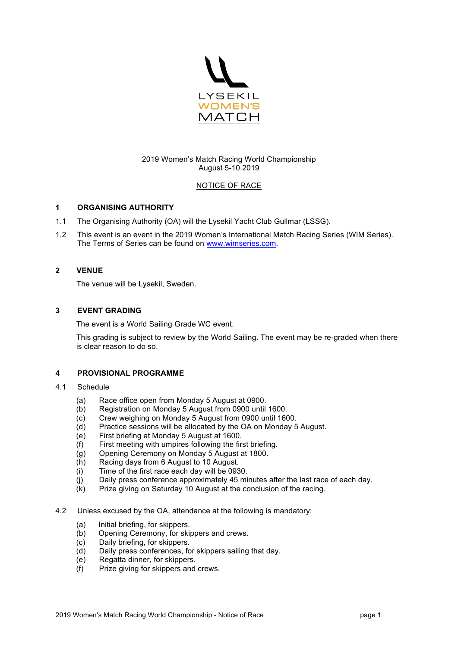

# 2019 Women's Match Racing World Championship August 5-10 2019

# NOTICE OF RACE

# **1 ORGANISING AUTHORITY**

- 1.1 The Organising Authority (OA) will the Lysekil Yacht Club Gullmar (LSSG).
- 1.2 This event is an event in the 2019 Women's International Match Racing Series (WIM Series). The Terms of Series can be found on www.wimseries.com.

# **2 VENUE**

The venue will be Lysekil, Sweden.

## **3 EVENT GRADING**

The event is a World Sailing Grade WC event.

This grading is subject to review by the World Sailing. The event may be re-graded when there is clear reason to do so.

# **4 PROVISIONAL PROGRAMME**

#### 4.1 Schedule

- (a) Race office open from Monday 5 August at 0900.
- (b) Registration on Monday 5 August from 0900 until 1600.
- (c) Crew weighing on Monday 5 August from 0900 until 1600.
- (d) Practice sessions will be allocated by the OA on Monday 5 August.
- (e) First briefing at Monday 5 August at 1600.
- (f) First meeting with umpires following the first briefing.
- (g) Opening Ceremony on Monday 5 August at 1800.
- (h) Racing days from 6 August to 10 August.
- (i) Time of the first race each day will be 0930.
- (j) Daily press conference approximately 45 minutes after the last race of each day.
- (k) Prize giving on Saturday 10 August at the conclusion of the racing.
- 4.2 Unless excused by the OA, attendance at the following is mandatory:
	- (a) Initial briefing, for skippers.
	- (b) Opening Ceremony, for skippers and crews.
	- (c) Daily briefing, for skippers.
	- (d) Daily press conferences, for skippers sailing that day.
	- (e) Regatta dinner, for skippers.
	- (f) Prize giving for skippers and crews.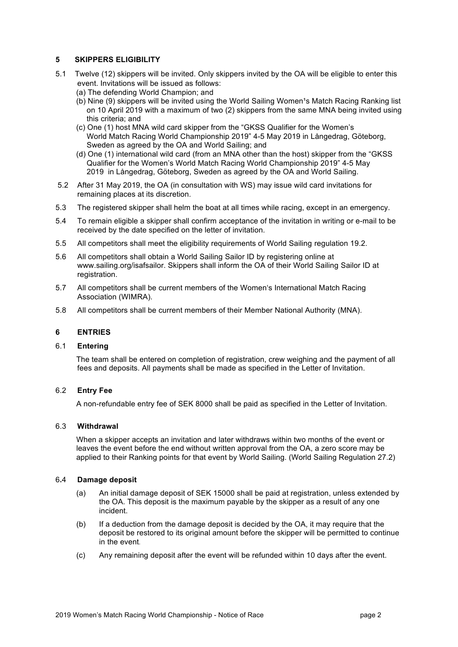# **5 SKIPPERS ELIGIBILITY**

- 5.1 Twelve (12) skippers will be invited. Only skippers invited by the OA will be eligible to enter this event. Invitations will be issued as follows:
	- (a) The defending World Champion; and
	- (b) Nine (9) skippers will be invited using the World Sailing Women's Match Racing Ranking list on 10 April 2019 with a maximum of two (2) skippers from the same MNA being invited using this criteria; and
	- (c) One (1) host MNA wild card skipper from the "GKSS Qualifier for the Women's World Match Racing World Championship 2019" 4-5 May 2019 in Långedrag, Göteborg, Sweden as agreed by the OA and World Sailing; and
	- (d) One (1) international wild card (from an MNA other than the host) skipper from the "GKSS Qualifier for the Women's World Match Racing World Championship 2019" 4-5 May 2019 in Långedrag, Göteborg, Sweden as agreed by the OA and World Sailing.
- 5.2 After 31 May 2019, the OA (in consultation with WS) may issue wild card invitations for remaining places at its discretion.
- 5.3 The registered skipper shall helm the boat at all times while racing, except in an emergency.
- 5.4 To remain eligible a skipper shall confirm acceptance of the invitation in writing or e-mail to be received by the date specified on the letter of invitation.
- 5.5 All competitors shall meet the eligibility requirements of World Sailing regulation 19.2.
- 5.6 All competitors shall obtain a World Sailing Sailor ID by registering online at www.sailing.org/isafsailor. Skippers shall inform the OA of their World Sailing Sailor ID at registration.
- 5.7 All competitors shall be current members of the Women's International Match Racing Association (WIMRA).
- 5.8 All competitors shall be current members of their Member National Authority (MNA).

#### **6 ENTRIES**

#### 6.1 **Entering**

The team shall be entered on completion of registration, crew weighing and the payment of all fees and deposits. All payments shall be made as specified in the Letter of Invitation.

#### 6.2 **Entry Fee**

A non-refundable entry fee of SEK 8000 shall be paid as specified in the Letter of Invitation.

## 6.3 **Withdrawal**

When a skipper accepts an invitation and later withdraws within two months of the event or leaves the event before the end without written approval from the OA, a zero score may be applied to their Ranking points for that event by World Sailing. (World Sailing Regulation 27.2)

#### 6**.**4 **Damage deposit**

- (a) An initial damage deposit of SEK 15000 shall be paid at registration, unless extended by the OA. This deposit is the maximum payable by the skipper as a result of any one incident.
- (b) If a deduction from the damage deposit is decided by the OA, it may require that the deposit be restored to its original amount before the skipper will be permitted to continue in the event.
- (c) Any remaining deposit after the event will be refunded within 10 days after the event.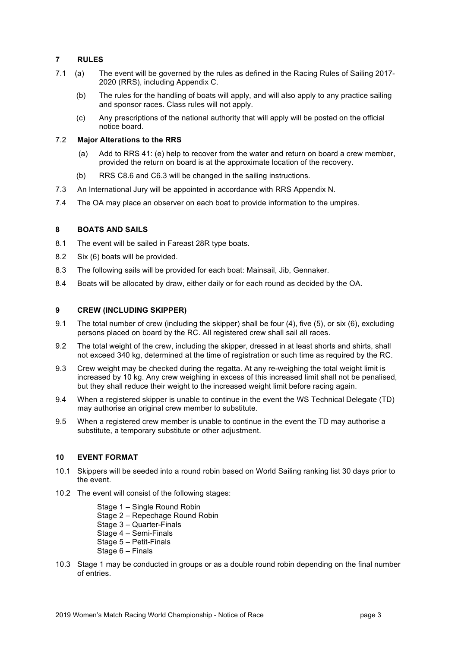# **7 RULES**

- 7.1 (a) The event will be governed by the rules as defined in the Racing Rules of Sailing 2017- 2020 (RRS), including Appendix C.
	- (b) The rules for the handling of boats will apply, and will also apply to any practice sailing and sponsor races. Class rules will not apply.
	- (c) Any prescriptions of the national authority that will apply will be posted on the official notice board.

## 7.2 **Major Alterations to the RRS**

- (a) Add to RRS 41: (e) help to recover from the water and return on board a crew member, provided the return on board is at the approximate location of the recovery.
- (b) RRS C8.6 and C6.3 will be changed in the sailing instructions.
- 7.3 An International Jury will be appointed in accordance with RRS Appendix N.
- 7.4 The OA may place an observer on each boat to provide information to the umpires.

## **8 BOATS AND SAILS**

- 8.1 The event will be sailed in Fareast 28R type boats.
- 8.2 Six (6) boats will be provided.
- 8.3 The following sails will be provided for each boat: Mainsail, Jib, Gennaker.
- 8.4 Boats will be allocated by draw, either daily or for each round as decided by the OA.

## **9 CREW (INCLUDING SKIPPER)**

- 9.1 The total number of crew (including the skipper) shall be four (4), five (5), or six (6), excluding persons placed on board by the RC. All registered crew shall sail all races.
- 9.2 The total weight of the crew, including the skipper, dressed in at least shorts and shirts, shall not exceed 340 kg, determined at the time of registration or such time as required by the RC.
- 9.3 Crew weight may be checked during the regatta. At any re-weighing the total weight limit is increased by 10 kg. Any crew weighing in excess of this increased limit shall not be penalised, but they shall reduce their weight to the increased weight limit before racing again.
- 9.4 When a registered skipper is unable to continue in the event the WS Technical Delegate (TD) may authorise an original crew member to substitute.
- 9.5 When a registered crew member is unable to continue in the event the TD may authorise a substitute, a temporary substitute or other adjustment.

# **10 EVENT FORMAT**

- 10.1 Skippers will be seeded into a round robin based on World Sailing ranking list 30 days prior to the event.
- 10.2 The event will consist of the following stages:
	- Stage 1 Single Round Robin
	- Stage 2 Repechage Round Robin
	- Stage 3 Quarter-Finals
	- Stage 4 Semi-Finals
	- Stage 5 Petit-Finals
	- Stage 6 Finals
- 10.3 Stage 1 may be conducted in groups or as a double round robin depending on the final number of entries.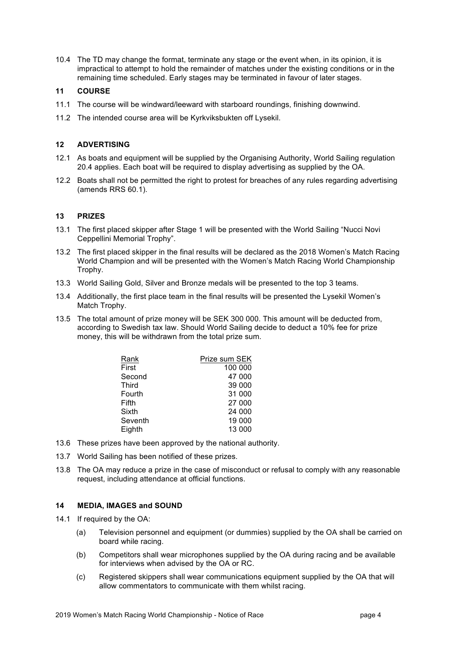10.4 The TD may change the format, terminate any stage or the event when, in its opinion, it is impractical to attempt to hold the remainder of matches under the existing conditions or in the remaining time scheduled. Early stages may be terminated in favour of later stages.

# **11 COURSE**

- 11.1 The course will be windward/leeward with starboard roundings, finishing downwind.
- 11.2 The intended course area will be Kyrkviksbukten off Lysekil.

## **12 ADVERTISING**

- 12.1 As boats and equipment will be supplied by the Organising Authority, World Sailing regulation 20.4 applies. Each boat will be required to display advertising as supplied by the OA.
- 12.2 Boats shall not be permitted the right to protest for breaches of any rules regarding advertising (amends RRS 60.1).

## **13 PRIZES**

- 13.1 The first placed skipper after Stage 1 will be presented with the World Sailing "Nucci Novi Ceppellini Memorial Trophy".
- 13.2 The first placed skipper in the final results will be declared as the 2018 Women's Match Racing World Champion and will be presented with the Women's Match Racing World Championship Trophy.
- 13.3 World Sailing Gold, Silver and Bronze medals will be presented to the top 3 teams.
- 13.4 Additionally, the first place team in the final results will be presented the Lysekil Women's Match Trophy.
- 13.5 The total amount of prize money will be SEK 300 000. This amount will be deducted from, according to Swedish tax law. Should World Sailing decide to deduct a 10% fee for prize money, this will be withdrawn from the total prize sum.

| Rank    | Prize sum SEK |
|---------|---------------|
| First   | 100 000       |
| Second  | 47 000        |
| Third   | 39 000        |
| Fourth  | 31 000        |
| Fifth   | 27 000        |
| Sixth   | 24 000        |
| Seventh | 19 000        |
| Eighth  | 13 000        |

- 13.6 These prizes have been approved by the national authority.
- 13.7 World Sailing has been notified of these prizes.
- 13.8 The OA may reduce a prize in the case of misconduct or refusal to comply with any reasonable request, including attendance at official functions.

#### **14 MEDIA, IMAGES and SOUND**

- 14.1 If required by the OA:
	- (a) Television personnel and equipment (or dummies) supplied by the OA shall be carried on board while racing.
	- (b) Competitors shall wear microphones supplied by the OA during racing and be available for interviews when advised by the OA or RC.
	- (c) Registered skippers shall wear communications equipment supplied by the OA that will allow commentators to communicate with them whilst racing.